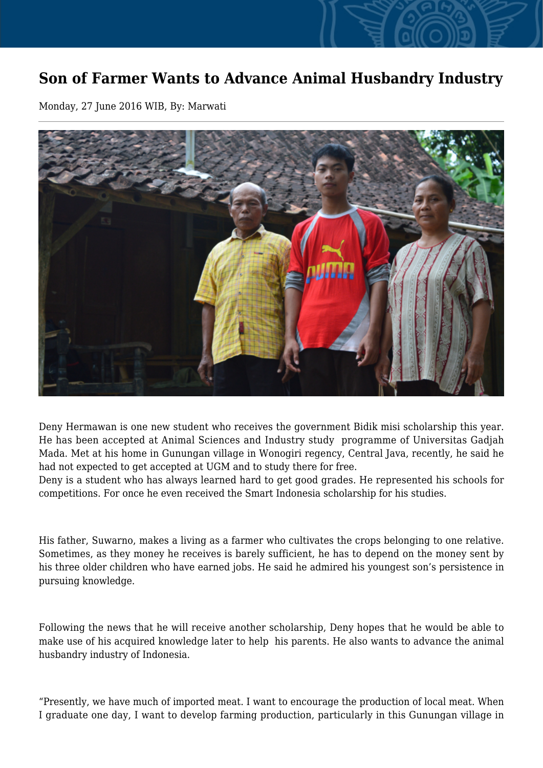## **Son of Farmer Wants to Advance Animal Husbandry Industry**

Monday, 27 June 2016 WIB, By: Marwati



Deny Hermawan is one new student who receives the government Bidik misi scholarship this year. He has been accepted at Animal Sciences and Industry study programme of Universitas Gadjah Mada. Met at his home in Gunungan village in Wonogiri regency, Central Java, recently, he said he had not expected to get accepted at UGM and to study there for free.

Deny is a student who has always learned hard to get good grades. He represented his schools for competitions. For once he even received the Smart Indonesia scholarship for his studies.

His father, Suwarno, makes a living as a farmer who cultivates the crops belonging to one relative. Sometimes, as they money he receives is barely sufficient, he has to depend on the money sent by his three older children who have earned jobs. He said he admired his youngest son's persistence in pursuing knowledge.

Following the news that he will receive another scholarship, Deny hopes that he would be able to make use of his acquired knowledge later to help his parents. He also wants to advance the animal husbandry industry of Indonesia.

"Presently, we have much of imported meat. I want to encourage the production of local meat. When I graduate one day, I want to develop farming production, particularly in this Gunungan village in